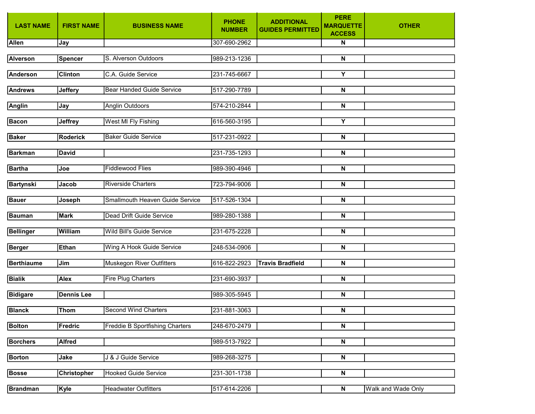| <b>LAST NAME</b>  | <b>FIRST NAME</b> | <b>BUSINESS NAME</b>             | <b>PHONE</b><br><b>NUMBER</b> | <b>ADDITIONAL</b><br><b>GUIDES PERMITTED</b> | <b>PERE</b><br><b>MARQUETTE</b><br><b>ACCESS</b> | <b>OTHER</b>       |
|-------------------|-------------------|----------------------------------|-------------------------------|----------------------------------------------|--------------------------------------------------|--------------------|
| Allen             | Jay               |                                  | 307-690-2962                  |                                              | N                                                |                    |
| <b>Alverson</b>   | <b>Spencer</b>    | S. Alverson Outdoors             | 989-213-1236                  |                                              | $\overline{\mathsf{N}}$                          |                    |
| <b>Anderson</b>   | <b>Clinton</b>    | C.A. Guide Service               | 231-745-6667                  |                                              | Υ                                                |                    |
| <b>Andrews</b>    | <b>Jeffery</b>    | <b>Bear Handed Guide Service</b> | 517-290-7789                  |                                              | N                                                |                    |
| <b>Anglin</b>     | Jay               | Anglin Outdoors                  | 574-210-2844                  |                                              | N                                                |                    |
| <b>Bacon</b>      | <b>Jeffrey</b>    | West MI Fly Fishing              | 616-560-3195                  |                                              | Y                                                |                    |
| <b>Baker</b>      | <b>Roderick</b>   | <b>Baker Guide Service</b>       | 517-231-0922                  |                                              | N                                                |                    |
| <b>Barkman</b>    | <b>David</b>      |                                  | 231-735-1293                  |                                              | N                                                |                    |
| <b>Bartha</b>     | Joe               | <b>Fiddlewood Flies</b>          | 989-390-4946                  |                                              | N                                                |                    |
| <b>Bartynski</b>  | Jacob             | <b>Riverside Charters</b>        | 723-794-9006                  |                                              | ${\sf N}$                                        |                    |
| <b>Bauer</b>      | Joseph            | Smallmouth Heaven Guide Service  | 517-526-1304                  |                                              | ${\sf N}$                                        |                    |
| <b>Bauman</b>     | <b>Mark</b>       | Dead Drift Guide Service         | 989-280-1388                  |                                              | ${\sf N}$                                        |                    |
| <b>Bellinger</b>  | William           | Wild Bill's Guide Service        | 231-675-2228                  |                                              | N                                                |                    |
| <b>Berger</b>     | Ethan             | Wing A Hook Guide Service        | 248-534-0906                  |                                              | N                                                |                    |
| <b>Berthiaume</b> | Jim               | Muskegon River Outfitters        | 616-822-2923                  | <b>Travis Bradfield</b>                      | N                                                |                    |
| <b>Bialik</b>     | <b>Alex</b>       | <b>Fire Plug Charters</b>        | 231-690-3937                  |                                              | ${\sf N}$                                        |                    |
| <b>Bidigare</b>   | <b>Dennis Lee</b> |                                  | 989-305-5945                  |                                              | ${\sf N}$                                        |                    |
| <b>Blanck</b>     | <b>Thom</b>       | <b>Second Wind Charters</b>      | 231-881-3063                  |                                              | ${\sf N}$                                        |                    |
| <b>Bolton</b>     | Fredric           | Freddie B Sportfishing Charters  | 248-670-2479                  |                                              | $\boldsymbol{\mathsf{N}}$                        |                    |
| <b>Borchers</b>   | <b>Alfred</b>     |                                  | 989-513-7922                  |                                              | $\boldsymbol{\mathsf{N}}$                        |                    |
| <b>Borton</b>     | Jake              | J & J Guide Service              | 989-268-3275                  |                                              | $\boldsymbol{\mathsf{N}}$                        |                    |
| <b>Bosse</b>      | Christopher       | <b>Hooked Guide Service</b>      | 231-301-1738                  |                                              | ${\sf N}$                                        |                    |
| <b>Brandman</b>   | Kyle              | <b>Headwater Outfitters</b>      | 517-614-2206                  |                                              | $\boldsymbol{\mathsf{N}}$                        | Walk and Wade Only |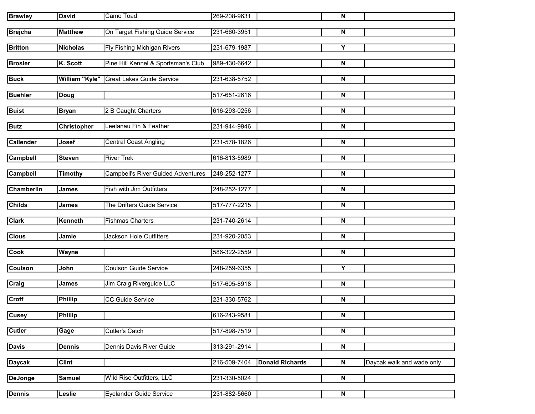| <b>Brawley</b>    | David              | Camo Toad                                 | 269-208-9631 |                        | N                         |                           |
|-------------------|--------------------|-------------------------------------------|--------------|------------------------|---------------------------|---------------------------|
| <b>Brejcha</b>    | <b>Matthew</b>     | On Target Fishing Guide Service           | 231-660-3951 |                        | N                         |                           |
| <b>Britton</b>    | Nicholas           | <b>Fly Fishing Michigan Rivers</b>        | 231-679-1987 |                        | Y                         |                           |
| <b>Brosier</b>    | K. Scott           | Pine Hill Kennel & Sportsman's Club       | 989-430-6642 |                        | N                         |                           |
| <b>Buck</b>       | William "Kyle"     | <b>Great Lakes Guide Service</b>          | 231-638-5752 |                        | N                         |                           |
| <b>Buehler</b>    | Doug               |                                           | 517-651-2616 |                        | N                         |                           |
| <b>Buist</b>      | <b>Bryan</b>       | 2 B Caught Charters                       | 616-293-0256 |                        | N                         |                           |
| <b>Butz</b>       | <b>Christopher</b> | Leelanau Fin & Feather                    | 231-944-9946 |                        | N                         |                           |
| <b>Callender</b>  | Josef              | Central Coast Angling                     | 231-578-1826 |                        | N                         |                           |
| <b>Campbell</b>   | <b>Steven</b>      | River Trek                                | 616-813-5989 |                        | N                         |                           |
| <b>Campbell</b>   | Timothy            | <b>Campbell's River Guided Adventures</b> | 248-252-1277 |                        | N                         |                           |
| <b>Chamberlin</b> | <b>James</b>       | <b>Fish with Jim Outfitters</b>           | 248-252-1277 |                        | N                         |                           |
| Childs            | <b>James</b>       | The Drifters Guide Service                | 517-777-2215 |                        | N                         |                           |
| <b>Clark</b>      | Kenneth            | <b>Fishmas Charters</b>                   | 231-740-2614 |                        | N                         |                           |
| <b>Clous</b>      | Jamie              | Jackson Hole Outfitters                   | 231-920-2053 |                        | N                         |                           |
| <b>Cook</b>       | <b>Wayne</b>       |                                           | 586-322-2559 |                        | N                         |                           |
| Coulson           | John               | Coulson Guide Service                     | 248-259-6355 |                        | Y                         |                           |
| Craig             | James              | Jim Craig Riverguide LLC                  | 517-605-8918 |                        | N                         |                           |
| Croff             | <b>Phillip</b>     | CC Guide Service                          | 231-330-5762 |                        | N                         |                           |
| Cusey             | <b>Phillip</b>     |                                           | 616-243-9581 |                        | $\overline{\mathbf{z}}$   |                           |
| <b>Cutler</b>     | Gage               | Cutler's Catch                            | 517-898-7519 |                        | N                         |                           |
| <b>Davis</b>      | Dennis             | Dennis Davis River Guide                  | 313-291-2914 |                        | $\boldsymbol{\mathsf{N}}$ |                           |
| <b>Daycak</b>     | <b>Clint</b>       |                                           | 216-509-7404 | <b>Donald Richards</b> | $\overline{\mathsf{N}}$   | Daycak walk and wade only |
| <b>DeJonge</b>    | Samuel             | Wild Rise Outfitters, LLC                 | 231-330-5024 |                        | $\overline{\mathsf{N}}$   |                           |
| <b>Dennis</b>     | Leslie             | Eyelander Guide Service                   | 231-882-5660 |                        | N                         |                           |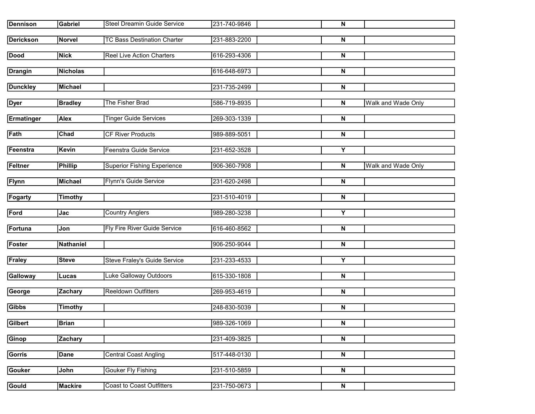| <b>Dennison</b>   | Gabriel        | <b>Steel Dreamin Guide Service</b>  | 231-740-9846 | N                       |                           |
|-------------------|----------------|-------------------------------------|--------------|-------------------------|---------------------------|
| <b>Derickson</b>  | Norvel         | <b>TC Bass Destination Charter</b>  | 231-883-2200 | N                       |                           |
| <b>Dood</b>       | Nick           | <b>Reel Live Action Charters</b>    | 616-293-4306 | N                       |                           |
| <b>Drangin</b>    | Nicholas       |                                     | 616-648-6973 | N                       |                           |
| <b>Dunckley</b>   | Michael        |                                     | 231-735-2499 | N                       |                           |
| <b>Dyer</b>       | <b>Bradley</b> | The Fisher Brad                     | 586-719-8935 | N                       | Walk and Wade Only        |
| <b>Ermatinger</b> | Alex           | <b>Tinger Guide Services</b>        | 269-303-1339 | N                       |                           |
| Fath              | Chad           | <b>CF River Products</b>            | 989-889-5051 | N                       |                           |
| Feenstra          | Kevin          | Feenstra Guide Service              | 231-652-3528 | Υ                       |                           |
| Feltner           | <b>Phillip</b> | <b>Superior Fishing Experience</b>  | 906-360-7908 | N                       | <b>Walk and Wade Only</b> |
| <b>Flynn</b>      | Michael        | <b>Flynn's Guide Service</b>        | 231-620-2498 | N                       |                           |
| Fogarty           | <b>Timothy</b> |                                     | 231-510-4019 | N                       |                           |
| Ford              | Jac            | <b>Country Anglers</b>              | 989-280-3238 | Υ                       |                           |
| Fortuna           | Jon            | <b>Fly Fire River Guide Service</b> | 616-460-8562 | N                       |                           |
| Foster            | Nathaniel      |                                     | 906-250-9044 | N                       |                           |
| <b>Fraley</b>     | <b>Steve</b>   | Steve Fraley's Guide Service        | 231-233-4533 | Υ                       |                           |
| Galloway          | Lucas          | Luke Galloway Outdoors              | 615-330-1808 | N                       |                           |
| George            | Zachary        | <b>Reeldown Outfitters</b>          | 269-953-4619 | N                       |                           |
| <b>Gibbs</b>      | Timothy        |                                     | 248-830-5039 | N                       |                           |
| Gilbert           | Brian          |                                     | 989-326-1069 | $\overline{\mathbf{N}}$ |                           |
| Ginop             | Zachary        |                                     | 231-409-3825 | N                       |                           |
| <b>Gorris</b>     | Dane           | <b>Central Coast Angling</b>        | 517-448-0130 | $\overline{\mathsf{N}}$ |                           |
| <b>Gouker</b>     | John           | <b>Gouker Fly Fishing</b>           | 231-510-5859 | $\overline{\mathsf{N}}$ |                           |
| <b>Gould</b>      | Mackire        | <b>Coast to Coast Outfitters</b>    | 231-750-0673 | N                       |                           |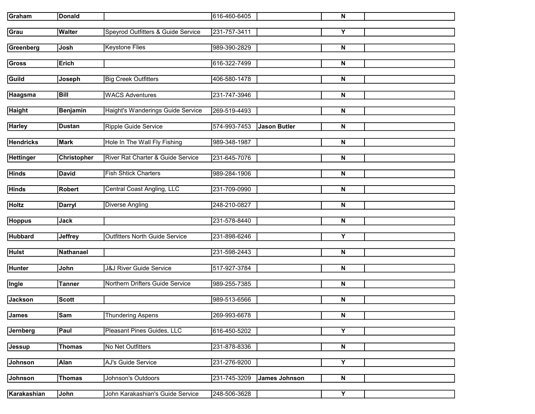| Graham           | <b>Donald</b>   |                                       | 616-460-6405 |                     | N                       |  |
|------------------|-----------------|---------------------------------------|--------------|---------------------|-------------------------|--|
| Grau             | <b>Walter</b>   | Speyrod Outfitters & Guide Service    | 231-757-3411 |                     | Y                       |  |
| Greenberg        | Josh            | <b>Keystone Flies</b>                 | 989-390-2829 |                     | N                       |  |
| <b>Gross</b>     | <b>Erich</b>    |                                       | 616-322-7499 |                     | N                       |  |
|                  |                 |                                       |              |                     |                         |  |
| Guild            | Joseph          | <b>Big Creek Outfitters</b>           | 406-580-1478 |                     | N                       |  |
| Haagsma          | <b>Bill</b>     | <b>WACS Adventures</b>                | 231-747-3946 |                     | N                       |  |
| <b>Haight</b>    | <b>Benjamin</b> | Haight's Wanderings Guide Service     | 269-519-4493 |                     | N                       |  |
|                  |                 |                                       |              |                     |                         |  |
| <b>Harley</b>    | <b>Dustan</b>   | Ripple Guide Service                  | 574-993-7453 | <b>Jason Butler</b> | N                       |  |
| <b>Hendricks</b> | <b>Mark</b>     | Hole In The Wall Fly Fishing          | 989-348-1987 |                     | N                       |  |
| <b>Hettinger</b> | Christopher     | River Rat Charter & Guide Service     | 231-645-7076 |                     | N                       |  |
| <b>Hinds</b>     | <b>David</b>    | <b>Fish Shtick Charters</b>           | 989-284-1906 |                     | N                       |  |
|                  |                 |                                       |              |                     |                         |  |
| <b>Hinds</b>     | <b>Robert</b>   | <b>Central Coast Angling, LLC</b>     | 231-709-0990 |                     | N                       |  |
| <b>Holtz</b>     | <b>Darryl</b>   | <b>Diverse Angling</b>                | 248-210-0827 |                     | N                       |  |
| <b>Hoppus</b>    | Jack            |                                       | 231-578-8440 |                     | N                       |  |
|                  |                 |                                       |              |                     |                         |  |
| <b>Hubbard</b>   | <b>Jeffrey</b>  | <b>Outfitters North Guide Service</b> | 231-898-6246 |                     | Y                       |  |
| <b>Hulst</b>     | Nathanael       |                                       | 231-598-2443 |                     | N                       |  |
| <b>Hunter</b>    | John            | <b>J&amp;J River Guide Service</b>    | 517-927-3784 |                     | N                       |  |
| Ingle            | <b>Tanner</b>   | Northern Drifters Guide Service       | 989-255-7385 |                     | N                       |  |
| <b>Jackson</b>   | <b>Scott</b>    |                                       | 989-513-6566 |                     | N                       |  |
| <b>James</b>     | Sam             | <b>Thundering Aspens</b>              | 269-993-6678 |                     | N                       |  |
| Jernberg         | Paul            | Pleasant Pines Guides, LLC            | 616-450-5202 |                     | Υ                       |  |
| Jessup           | <b>Thomas</b>   | No Net Outfitters                     | 231-878-8336 |                     | N                       |  |
|                  |                 |                                       |              |                     |                         |  |
| Johnson          | <b>Alan</b>     | AJ's Guide Service                    | 231-276-9200 |                     | $\overline{\mathsf{Y}}$ |  |
| <b>Johnson</b>   | <b>Thomas</b>   | Johnson's Outdoors                    | 231-745-3209 | James Johnson       | $\overline{\mathsf{N}}$ |  |
| Karakashian      | John            | John Karakashian's Guide Service      | 248-506-3628 |                     | Y                       |  |
|                  |                 |                                       |              |                     |                         |  |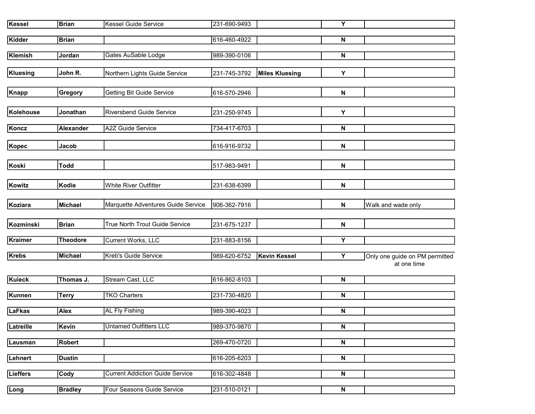| <b>Kessel</b>   | <b>Brian</b>     | <b>Kessel Guide Service</b>            | 231-690-9493 |                       | Y |                                               |
|-----------------|------------------|----------------------------------------|--------------|-----------------------|---|-----------------------------------------------|
| <b>Kidder</b>   | <b>Brian</b>     |                                        | 616-460-4922 |                       | N |                                               |
| <b>Klemish</b>  | Jordan           | Gates AuSable Lodge                    | 989-390-0106 |                       | N |                                               |
| Kluesing        | John R.          | Northern Lights Guide Service          | 231-745-3792 | <b>Miles Kluesing</b> | Y |                                               |
| <b>Knapp</b>    | Gregory          | <b>Getting Bit Guide Service</b>       | 616-570-2946 |                       | N |                                               |
| Kolehouse       | Jonathan         | <b>Riversbend Guide Service</b>        | 231-250-9745 |                       | Υ |                                               |
| Koncz           | <b>Alexander</b> | A2Z Guide Service                      | 734-417-6703 |                       | N |                                               |
| Kopec           | Jacob            |                                        | 616-916-9732 |                       | N |                                               |
| Koski           | <b>Todd</b>      |                                        | 517-983-9491 |                       | N |                                               |
| Kowitz          | Kodie            | White River Outfitter                  | 231-638-6399 |                       | N |                                               |
| Koziara         | <b>Michael</b>   | Marquette Adventures Guide Service     | 906-362-7916 |                       | N | Walk and wade only                            |
| Kozminski       | <b>Brian</b>     | True North Trout Guide Service         | 231-675-1237 |                       | N |                                               |
| <b>Kraimer</b>  | <b>Theodore</b>  | Current Works, LLC                     | 231-883-8156 |                       | Υ |                                               |
| <b>Krebs</b>    | <b>Michael</b>   | <b>Kreb's Guide Service</b>            | 989-620-6752 | <b>Kevin Kessel</b>   | Y | Only one guide on PM permitted<br>at one time |
| <b>Kuieck</b>   | Thomas J.        | Stream Cast, LLC                       | 616-862-8103 |                       | N |                                               |
| <b>Kunnen</b>   | <b>Terry</b>     | <b>TKO Charters</b>                    | 231-730-4820 |                       | N |                                               |
| <b>LaFkas</b>   | <b>Alex</b>      | <b>AL Fly Fishing</b>                  | 989-390-4023 |                       | N |                                               |
| Latreille       | <b>Kevin</b>     | <b>Untamed Outfitters LLC</b>          | 989-370-9870 |                       | N |                                               |
| Lausman         | <b>Robert</b>    |                                        | 269-470-0720 |                       | N |                                               |
| Lehnert         | <b>Dustin</b>    |                                        | 616-205-6203 |                       | N |                                               |
| <b>Lieffers</b> | Cody             | <b>Current Addiction Guide Service</b> | 616-302-4848 |                       | N |                                               |
| Long            | <b>Bradley</b>   | Four Seasons Guide Service             | 231-510-0121 |                       | N |                                               |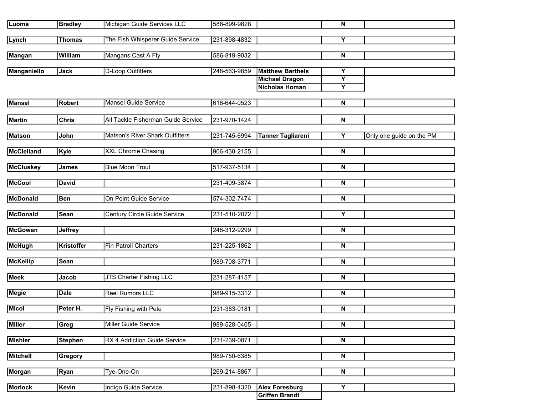| Luoma              | <b>Bradley</b>    | Michigan Guide Services LLC        | 586-899-9828 |                                                                           | ${\bf N}$                         |                          |
|--------------------|-------------------|------------------------------------|--------------|---------------------------------------------------------------------------|-----------------------------------|--------------------------|
| Lynch              | <b>Thomas</b>     | The Fish Whisperer Guide Service   | 231-898-4832 |                                                                           | Υ                                 |                          |
| <b>Mangan</b>      | William           | Mangans Cast A Fly                 | 586-819-9032 |                                                                           | N                                 |                          |
| <b>Manganiello</b> | <b>Jack</b>       | <b>D-Loop Outfitters</b>           | 248-563-9859 | <b>Matthew Barthels</b><br><b>Michael Dragon</b><br><b>Nicholas Homan</b> | Υ<br>$\overline{\mathsf{Y}}$<br>Y |                          |
| <b>Mansel</b>      | <b>Robert</b>     | <b>Mansel Guide Service</b>        | 616-644-0523 |                                                                           | N                                 |                          |
| <b>Martin</b>      | <b>Chris</b>      | All Tackle Fisherman Guide Service | 231-970-1424 |                                                                           | N                                 |                          |
| <b>Matson</b>      | John              | Matson's River Shark Outfitters    | 231-745-6994 | <b>Tanner Tagliareni</b>                                                  | Y                                 | Only one guide on the PM |
| McClelland         | Kyle              | <b>XXL Chrome Chasing</b>          | 906-430-2155 |                                                                           | N                                 |                          |
| <b>McCluskey</b>   | <b>James</b>      | <b>Blue Moon Trout</b>             | 517-937-5134 |                                                                           | N                                 |                          |
| <b>McCool</b>      | <b>David</b>      |                                    | 231-409-3874 |                                                                           | N                                 |                          |
| <b>McDonald</b>    | <b>Ben</b>        | On Point Guide Service             | 574-302-7474 |                                                                           | N                                 |                          |
| <b>McDonald</b>    | <b>Sean</b>       | Century Circle Guide Service       | 231-510-2072 |                                                                           | Υ                                 |                          |
| <b>McGowan</b>     | <b>Jeffrey</b>    |                                    | 248-312-9299 |                                                                           | N                                 |                          |
| <b>McHugh</b>      | <b>Kristoffer</b> | <b>Fin Patroll Charters</b>        | 231-225-1862 |                                                                           | N                                 |                          |
| <b>McKellip</b>    | <b>Sean</b>       |                                    | 989-708-3771 |                                                                           | N                                 |                          |
| <b>Meek</b>        | Jacob             | JTS Charter Fishing LLC            | 231-287-4157 |                                                                           | N                                 |                          |
| <b>Megie</b>       | <b>Dale</b>       | <b>Reel Rumors LLC</b>             | 989-915-3312 |                                                                           | N                                 |                          |
| <b>Micol</b>       | Peter H.          | Fly Fishing with Pete              | 231-383-0181 |                                                                           | N                                 |                          |
| <b>Miller</b>      | Greg              | Miller Guide Service               | 989-528-0405 |                                                                           | N                                 |                          |
| <b>Mishler</b>     | <b>Stephen</b>    | RX 4 Addiction Guide Service       | 231-239-0871 |                                                                           | N                                 |                          |
| <b>Mitchell</b>    | Gregory           |                                    | 989-750-6385 |                                                                           | $\overline{\mathbf{z}}$           |                          |
| Morgan             | Ryan              | Tye-One-On                         | 269-214-8867 |                                                                           | $\overline{\mathbf{N}}$           |                          |
| <b>Morlock</b>     | Kevin             | Indigo Guide Service               | 231-898-4320 | <b>Alex Foresburg</b><br><b>Griffen Brandt</b>                            | $\overline{Y}$                    |                          |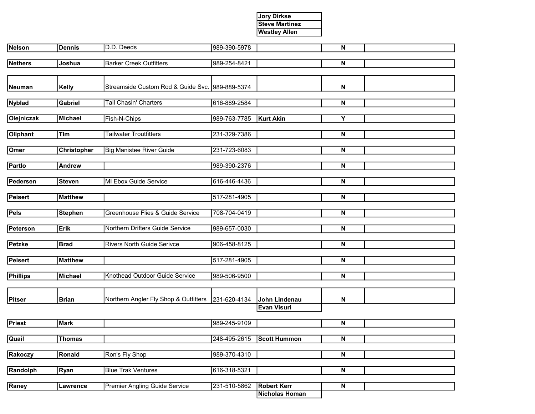## Jory Dirkse Steve Martinez Westley Allen

| Nelson          | Dennis             | D.D. Deeds                                      | 989-390-5978 |                                             | N                       |  |
|-----------------|--------------------|-------------------------------------------------|--------------|---------------------------------------------|-------------------------|--|
| <b>Nethers</b>  | Joshua             | <b>Barker Creek Outfitters</b>                  | 989-254-8421 |                                             | N                       |  |
|                 |                    |                                                 |              |                                             |                         |  |
| Neuman          | <b>Kelly</b>       | Streamside Custom Rod & Guide Svc. 989-889-5374 |              |                                             | N                       |  |
|                 |                    |                                                 |              |                                             |                         |  |
| <b>Nyblad</b>   | <b>Gabriel</b>     | <b>Tail Chasin' Charters</b>                    | 616-889-2584 |                                             | N                       |  |
| Olejniczak      | Michael            | Fish-N-Chips                                    | 989-763-7785 | Kurt Akin                                   | Y                       |  |
|                 |                    |                                                 |              |                                             |                         |  |
| Oliphant        | Tim                | <b>Tailwater Troutfitters</b>                   | 231-329-7386 |                                             | N                       |  |
| Omer            | <b>Christopher</b> | <b>Big Manistee River Guide</b>                 | 231-723-6083 |                                             | N                       |  |
| Partlo          | <b>Andrew</b>      |                                                 | 989-390-2376 |                                             | N                       |  |
|                 |                    |                                                 |              |                                             |                         |  |
| Pedersen        | <b>Steven</b>      | MI Ebox Guide Service                           | 616-446-4436 |                                             | N                       |  |
| Peisert         | <b>Matthew</b>     |                                                 | 517-281-4905 |                                             | N                       |  |
|                 |                    |                                                 |              |                                             |                         |  |
| Pels            | <b>Stephen</b>     | Greenhouse Flies & Guide Service                | 708-704-0419 |                                             | N                       |  |
| Peterson        | Erik               | Northern Drifters Guide Service                 | 989-657-0030 |                                             | N                       |  |
|                 |                    |                                                 |              |                                             |                         |  |
| Petzke          | <b>Brad</b>        | <b>Rivers North Guide Serivce</b>               | 906-458-8125 |                                             | N                       |  |
| Peisert         | <b>Matthew</b>     |                                                 | 517-281-4905 |                                             | N                       |  |
|                 |                    |                                                 |              |                                             |                         |  |
| <b>Phillips</b> | Michael            | Knothead Outdoor Guide Service                  | 989-506-9500 |                                             | N                       |  |
|                 |                    |                                                 |              |                                             |                         |  |
| Pitser          | <b>Brian</b>       | Northern Angler Fly Shop & Outfitters           | 231-620-4134 | John Lindenau                               | N                       |  |
|                 |                    |                                                 |              | <b>Evan Visuri</b>                          |                         |  |
| Priest          | Mark               |                                                 | 989-245-9109 |                                             | N                       |  |
| Quail           | <b>Thomas</b>      |                                                 | 248-495-2615 | <b>Scott Hummon</b>                         | $\overline{\mathsf{N}}$ |  |
|                 |                    |                                                 |              |                                             |                         |  |
| Rakoczy         | Ronald             | Ron's Fly Shop                                  | 989-370-4310 |                                             | $\overline{\mathsf{N}}$ |  |
| Randolph        | Ryan               | <b>Blue Trak Ventures</b>                       | 616-318-5321 |                                             | $\overline{\mathsf{N}}$ |  |
|                 |                    |                                                 |              |                                             |                         |  |
| Raney           | Lawrence           | <b>Premier Angling Guide Service</b>            | 231-510-5862 | <b>Robert Kerr</b><br><b>Nicholas Homan</b> | $\overline{\mathsf{N}}$ |  |
|                 |                    |                                                 |              |                                             |                         |  |

L

L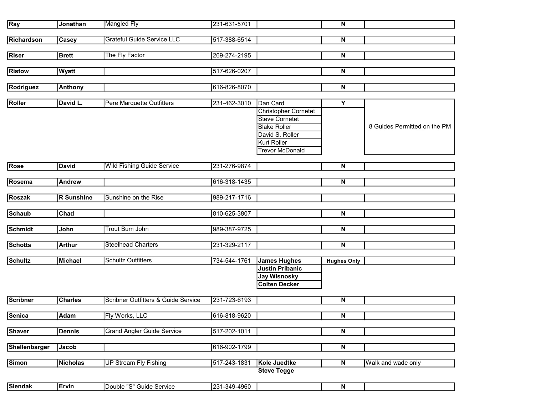|                 |                   | <b>Mangled Fly</b>                  |              |                             |                           |                              |
|-----------------|-------------------|-------------------------------------|--------------|-----------------------------|---------------------------|------------------------------|
| Ray             | Jonathan          |                                     | 231-631-5701 |                             | $\boldsymbol{\mathsf{N}}$ |                              |
|                 |                   |                                     |              |                             |                           |                              |
| Richardson      | <b>Casey</b>      | Grateful Guide Service LLC          | 517-388-6514 |                             | N                         |                              |
|                 |                   |                                     |              |                             |                           |                              |
| Riser           | <b>Brett</b>      | The Fly Factor                      | 269-274-2195 |                             | N                         |                              |
|                 |                   |                                     |              |                             |                           |                              |
| <b>Ristow</b>   | <b>Wyatt</b>      |                                     | 517-626-0207 |                             | N                         |                              |
|                 |                   |                                     |              |                             |                           |                              |
|                 |                   |                                     |              |                             | $\boldsymbol{\mathsf{N}}$ |                              |
| Rodriguez       | <b>Anthony</b>    |                                     | 616-826-8070 |                             |                           |                              |
|                 |                   |                                     |              |                             |                           |                              |
| Roller          | David L.          | Pere Marquette Outfitters           | 231-462-3010 | Dan Card                    | Y                         |                              |
|                 |                   |                                     |              | <b>Christopher Cornetet</b> |                           |                              |
|                 |                   |                                     |              | <b>Steve Cornetet</b>       |                           |                              |
|                 |                   |                                     |              | <b>Blake Roller</b>         |                           | 8 Guides Permitted on the PM |
|                 |                   |                                     |              | David S. Roller             |                           |                              |
|                 |                   |                                     |              | <b>Kurt Roller</b>          |                           |                              |
|                 |                   |                                     |              | <b>Trevor McDonald</b>      |                           |                              |
|                 |                   |                                     |              |                             |                           |                              |
|                 |                   |                                     |              |                             |                           |                              |
| Rose            | <b>David</b>      | <b>Wild Fishing Guide Service</b>   | 231-276-9874 |                             | N                         |                              |
|                 |                   |                                     |              |                             |                           |                              |
| Rosema          | <b>Andrew</b>     |                                     | 616-318-1435 |                             | ${\sf N}$                 |                              |
|                 |                   |                                     |              |                             |                           |                              |
| <b>Roszak</b>   | <b>R</b> Sunshine | Sunshine on the Rise                | 989-217-1716 |                             |                           |                              |
|                 |                   |                                     |              |                             |                           |                              |
| <b>Schaub</b>   | Chad              |                                     | 810-625-3807 |                             | N                         |                              |
|                 |                   |                                     |              |                             |                           |                              |
| <b>Schmidt</b>  | John              | <b>Trout Bum John</b>               | 989-387-9725 |                             | N                         |                              |
|                 |                   |                                     |              |                             |                           |                              |
|                 |                   |                                     |              |                             |                           |                              |
| <b>Schotts</b>  | <b>Arthur</b>     | <b>Steelhead Charters</b>           | 231-329-2117 |                             | ${\sf N}$                 |                              |
|                 |                   |                                     |              |                             |                           |                              |
| <b>Schultz</b>  | Michael           | <b>Schultz Outfitters</b>           | 734-544-1761 | <b>James Hughes</b>         | <b>Hughes Only</b>        |                              |
|                 |                   |                                     |              | <b>Justin Pribanic</b>      |                           |                              |
|                 |                   |                                     |              | <b>Jay Wisnosky</b>         |                           |                              |
|                 |                   |                                     |              | <b>Colten Decker</b>        |                           |                              |
|                 |                   |                                     |              |                             |                           |                              |
| <b>Scribner</b> | <b>Charles</b>    | Scribner Outfitters & Guide Service | 231-723-6193 |                             | N                         |                              |
|                 |                   |                                     |              |                             |                           |                              |
| Senica          | <b>Adam</b>       | Fly Works, LLC                      | 616-818-9620 |                             | $\boldsymbol{\mathsf{N}}$ |                              |
|                 |                   |                                     |              |                             |                           |                              |
|                 |                   |                                     |              |                             |                           |                              |
| <b>Shaver</b>   | <b>Dennis</b>     | <b>Grand Angler Guide Service</b>   | 517-202-1011 |                             | $\overline{\mathbf{N}}$   |                              |
|                 |                   |                                     |              |                             |                           |                              |
| Shellenbarger   | Jacob             |                                     | 616-902-1799 |                             | $\overline{\mathbf{N}}$   |                              |
|                 |                   |                                     |              |                             |                           |                              |
| <b>Simon</b>    | Nicholas          | <b>UP Stream Fly Fishing</b>        | 517-243-1831 | Kole Juedtke                | $\overline{\mathbf{N}}$   | Walk and wade only           |
|                 |                   |                                     |              | <b>Steve Tegge</b>          |                           |                              |
|                 |                   |                                     |              |                             |                           |                              |
| <b>Slendak</b>  | <b>Ervin</b>      | Double "S" Guide Service            | 231-349-4960 |                             | $\overline{\mathsf{N}}$   |                              |
|                 |                   |                                     |              |                             |                           |                              |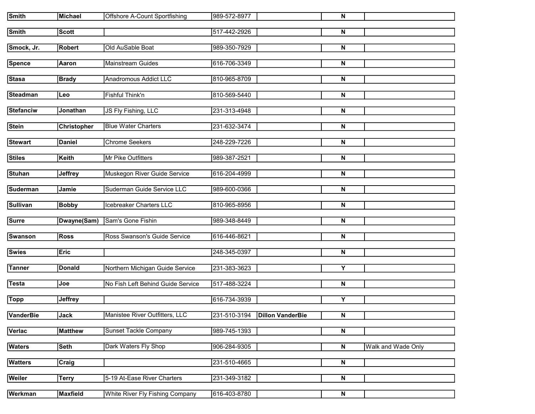| <b>Smith</b>     | <b>Michael</b>  | <b>Offshore A-Count Sportfishing</b> | 989-572-8977 |                               | ${\bf N}$               |                    |
|------------------|-----------------|--------------------------------------|--------------|-------------------------------|-------------------------|--------------------|
| <b>Smith</b>     | <b>Scott</b>    |                                      | 517-442-2926 |                               | N                       |                    |
| Smock, Jr.       | <b>Robert</b>   | Old AuSable Boat                     | 989-350-7929 |                               | N                       |                    |
|                  |                 |                                      |              |                               |                         |                    |
| <b>Spence</b>    | Aaron           | Mainstream Guides                    | 616-706-3349 |                               | N                       |                    |
| <b>Stasa</b>     | <b>Brady</b>    | <b>Anadromous Addict LLC</b>         | 810-965-8709 |                               | N                       |                    |
| <b>Steadman</b>  | Leo             | Fishful Think'n                      | 810-569-5440 |                               | N                       |                    |
|                  |                 |                                      |              |                               |                         |                    |
| <b>Stefanciw</b> | Jonathan        | JS Fly Fishing, LLC                  | 231-313-4948 |                               | N                       |                    |
| <b>Stein</b>     | Christopher     | <b>Blue Water Charters</b>           | 231-632-3474 |                               | N                       |                    |
| <b>Stewart</b>   | <b>Daniel</b>   | <b>Chrome Seekers</b>                | 248-229-7226 |                               | N                       |                    |
|                  |                 |                                      |              |                               |                         |                    |
| <b>Stiles</b>    | <b>Keith</b>    | Mr Pike Outfitters                   | 989-387-2521 |                               | N                       |                    |
| <b>Stuhan</b>    | <b>Jeffrey</b>  | Muskegon River Guide Service         | 616-204-4999 |                               | N                       |                    |
|                  |                 |                                      |              |                               |                         |                    |
| <b>Suderman</b>  | Jamie           | Suderman Guide Service LLC           | 989-600-0366 |                               | N                       |                    |
| <b>Sullivan</b>  | <b>Bobby</b>    | Icebreaker Charters LLC              | 810-965-8956 |                               | N                       |                    |
|                  |                 |                                      |              |                               |                         |                    |
| <b>Surre</b>     | Dwayne(Sam)     | Sam's Gone Fishin                    | 989-348-8449 |                               | N                       |                    |
| <b>Swanson</b>   | <b>Ross</b>     | Ross Swanson's Guide Service         | 616-446-8621 |                               | N                       |                    |
| <b>Swies</b>     | Eric            |                                      | 248-345-0397 |                               | N                       |                    |
|                  |                 |                                      |              |                               |                         |                    |
| <b>Tanner</b>    | <b>Donald</b>   | Northern Michigan Guide Service      | 231-383-3623 |                               | Υ                       |                    |
| <b>Testa</b>     | Joe             | No Fish Left Behind Guide Service    | 517-488-3224 |                               | N                       |                    |
| <b>Topp</b>      | <b>Jeffrey</b>  |                                      | 616-734-3939 |                               | Υ                       |                    |
|                  |                 |                                      |              |                               |                         |                    |
| <b>VanderBie</b> | Jack            | Manistee River Outfitters, LLC       |              | 231-510-3194 Dillon VanderBie | $\overline{\mathbf{N}}$ |                    |
| Verlac           | <b>Matthew</b>  | <b>Sunset Tackle Company</b>         | 989-745-1393 |                               | N                       |                    |
| <b>Waters</b>    | <b>Seth</b>     | Dark Waters Fly Shop                 | 906-284-9305 |                               | $\overline{\mathsf{N}}$ | Walk and Wade Only |
|                  |                 |                                      |              |                               |                         |                    |
| <b>Watters</b>   | Craig           |                                      | 231-510-4665 |                               | $\overline{\mathsf{N}}$ |                    |
| Weiler           | <b>Terry</b>    | 5-19 At-Ease River Charters          | 231-349-3182 |                               | $\overline{\mathsf{N}}$ |                    |
|                  |                 |                                      |              |                               |                         |                    |
| Werkman          | <b>Maxfield</b> | White River Fly Fishing Company      | 616-403-8780 |                               | $\mathsf N$             |                    |